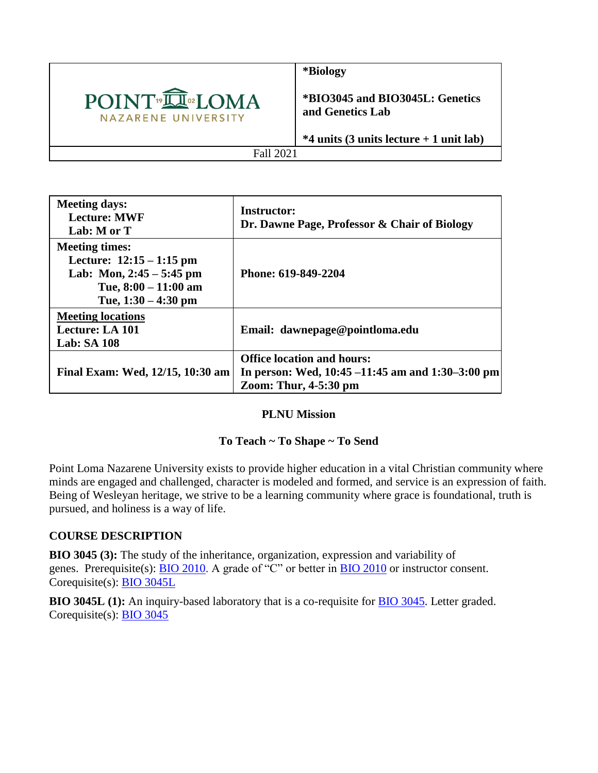

**\*Biology**

**\*BIO3045 and BIO3045L: Genetics and Genetics Lab**

**\*4 units (3 units lecture + 1 unit lab)**

Fall 2021

| <b>Meeting days:</b><br><b>Lecture: MWF</b><br>Lab: M or T                                                                           | <b>Instructor:</b><br>Dr. Dawne Page, Professor & Chair of Biology                                               |
|--------------------------------------------------------------------------------------------------------------------------------------|------------------------------------------------------------------------------------------------------------------|
| <b>Meeting times:</b><br>Lecture: $12:15 - 1:15$ pm<br>Lab: Mon, $2:45 - 5:45$ pm<br>Tue, $8:00 - 11:00$ am<br>Tue, $1:30 - 4:30$ pm | Phone: 619-849-2204                                                                                              |
| <b>Meeting locations</b><br><b>Lecture: LA 101</b><br><b>Lab: SA 108</b>                                                             | Email: dawnepage@pointloma.edu                                                                                   |
| Final Exam: Wed, 12/15, 10:30 am                                                                                                     | <b>Office location and hours:</b><br>In person: Wed, 10:45 –11:45 am and 1:30–3:00 pm<br>Zoom: Thur, $4-5:30$ pm |

#### **PLNU Mission**

## **To Teach ~ To Shape ~ To Send**

Point Loma Nazarene University exists to provide higher education in a vital Christian community where minds are engaged and challenged, character is modeled and formed, and service is an expression of faith. Being of Wesleyan heritage, we strive to be a learning community where grace is foundational, truth is pursued, and holiness is a way of life.

## **COURSE DESCRIPTION**

**BIO 3045 (3):** The study of the inheritance, organization, expression and variability of genes. Prerequisite(s): **[BIO 2010](https://catalog.pointloma.edu/content.php?filter%5B27%5D=BIO&filter%5B29%5D=&filter%5Bcourse_type%5D=-1&filter%5Bkeyword%5D=&filter%5B32%5D=1&filter%5Bcpage%5D=1&cur_cat_oid=41&expand=&navoid=2443&search_database=Filter#tt3162)**. A grade of "C" or better in **BIO 2010** or instructor consent. Corequisite(s): [BIO 3045L](https://catalog.pointloma.edu/content.php?filter%5B27%5D=BIO&filter%5B29%5D=&filter%5Bcourse_type%5D=-1&filter%5Bkeyword%5D=&filter%5B32%5D=1&filter%5Bcpage%5D=1&cur_cat_oid=41&expand=&navoid=2443&search_database=Filter#tt3199)

**BIO 3045L (1):** An inquiry-based laboratory that is a co-requisite for [BIO 3045.](https://catalog.pointloma.edu/content.php?filter%5B27%5D=BIO&filter%5B29%5D=&filter%5Bcourse_type%5D=-1&filter%5Bkeyword%5D=&filter%5B32%5D=1&filter%5Bcpage%5D=1&cur_cat_oid=41&expand=&navoid=2443&search_database=Filter#tt7320) Letter graded. Corequisite(s): [BIO 3045](https://catalog.pointloma.edu/content.php?filter%5B27%5D=BIO&filter%5B29%5D=&filter%5Bcourse_type%5D=-1&filter%5Bkeyword%5D=&filter%5B32%5D=1&filter%5Bcpage%5D=1&cur_cat_oid=41&expand=&navoid=2443&search_database=Filter#tt9428)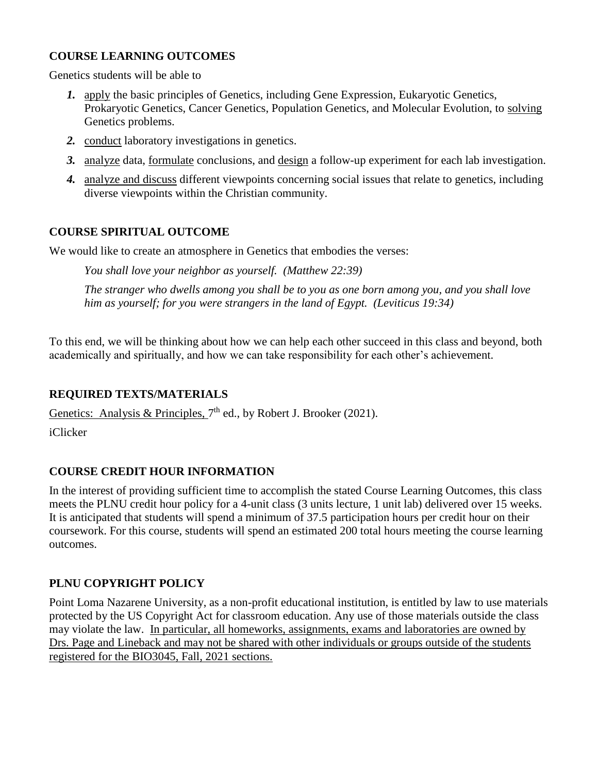## **COURSE LEARNING OUTCOMES**

Genetics students will be able to

- *1.* apply the basic principles of Genetics, including Gene Expression, Eukaryotic Genetics, Prokaryotic Genetics, Cancer Genetics, Population Genetics, and Molecular Evolution, to solving Genetics problems.
- *2.* conduct laboratory investigations in genetics.
- *3.* analyze data, formulate conclusions, and design a follow-up experiment for each lab investigation.
- *4.* analyze and discuss different viewpoints concerning social issues that relate to genetics, including diverse viewpoints within the Christian community.

### **COURSE SPIRITUAL OUTCOME**

We would like to create an atmosphere in Genetics that embodies the verses:

*You shall love your neighbor as yourself. (Matthew 22:39)* 

*The stranger who dwells among you shall be to you as one born among you, and you shall love him as yourself; for you were strangers in the land of Egypt. (Leviticus 19:34)*

To this end, we will be thinking about how we can help each other succeed in this class and beyond, both academically and spiritually, and how we can take responsibility for each other's achievement.

## **REQUIRED TEXTS/MATERIALS**

Genetics: Analysis & Principles,  $7<sup>th</sup>$  ed., by Robert J. Brooker (2021).

iClicker

## **COURSE CREDIT HOUR INFORMATION**

In the interest of providing sufficient time to accomplish the stated Course Learning Outcomes, this class meets the PLNU credit hour policy for a 4-unit class (3 units lecture, 1 unit lab) delivered over 15 weeks. It is anticipated that students will spend a minimum of 37.5 participation hours per credit hour on their coursework. For this course, students will spend an estimated 200 total hours meeting the course learning outcomes.

## **PLNU COPYRIGHT POLICY**

Point Loma Nazarene University, as a non-profit educational institution, is entitled by law to use materials protected by the US Copyright Act for classroom education. Any use of those materials outside the class may violate the law. In particular, all homeworks, assignments, exams and laboratories are owned by Drs. Page and Lineback and may not be shared with other individuals or groups outside of the students registered for the BIO3045, Fall, 2021 sections.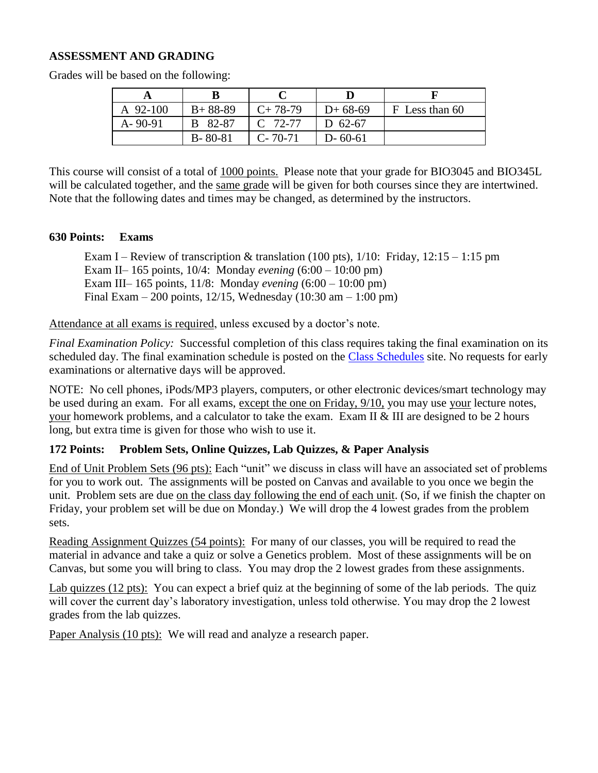### **ASSESSMENT AND GRADING**

| A 92-100      | $B+88-89$     | $C+78-79$     | $D+68-69$     | F Less than 60 |
|---------------|---------------|---------------|---------------|----------------|
| $A - 90 - 91$ | B 82-87       | $C$ 72-77     | D $62-67$     |                |
|               | $B - 80 - 81$ | $C - 70 - 71$ | $D - 60 - 61$ |                |

Grades will be based on the following:

This course will consist of a total of 1000 points. Please note that your grade for BIO3045 and BIO345L will be calculated together, and the same grade will be given for both courses since they are intertwined. Note that the following dates and times may be changed, as determined by the instructors.

#### **630 Points: Exams**

Exam I – Review of transcription & translation (100 pts),  $1/10$ : Friday,  $12:15 - 1:15$  pm Exam II– 165 points, 10/4: Monday *evening* (6:00 – 10:00 pm) Exam III– 165 points, 11/8: Monday *evening* (6:00 – 10:00 pm) Final Exam – 200 points, 12/15, Wednesday (10:30 am – 1:00 pm)

Attendance at all exams is required, unless excused by a doctor's note.

*Final Examination Policy:* Successful completion of this class requires taking the final examination on its scheduled day. The final examination schedule is posted on the [Class Schedules](https://www.pointloma.edu/offices/records/undergraduate-records) site. No requests for early examinations or alternative days will be approved.

NOTE: No cell phones, iPods/MP3 players, computers, or other electronic devices/smart technology may be used during an exam. For all exams, except the one on Friday, 9/10, you may use your lecture notes, your homework problems, and a calculator to take the exam. Exam II & III are designed to be 2 hours long, but extra time is given for those who wish to use it.

#### **172 Points: Problem Sets, Online Quizzes, Lab Quizzes, & Paper Analysis**

End of Unit Problem Sets (96 pts): Each "unit" we discuss in class will have an associated set of problems for you to work out. The assignments will be posted on Canvas and available to you once we begin the unit. Problem sets are due on the class day following the end of each unit. (So, if we finish the chapter on Friday, your problem set will be due on Monday.) We will drop the 4 lowest grades from the problem sets.

Reading Assignment Quizzes (54 points): For many of our classes, you will be required to read the material in advance and take a quiz or solve a Genetics problem. Most of these assignments will be on Canvas, but some you will bring to class. You may drop the 2 lowest grades from these assignments.

Lab quizzes (12 pts): You can expect a brief quiz at the beginning of some of the lab periods. The quiz will cover the current day's laboratory investigation, unless told otherwise. You may drop the 2 lowest grades from the lab quizzes.

Paper Analysis (10 pts): We will read and analyze a research paper.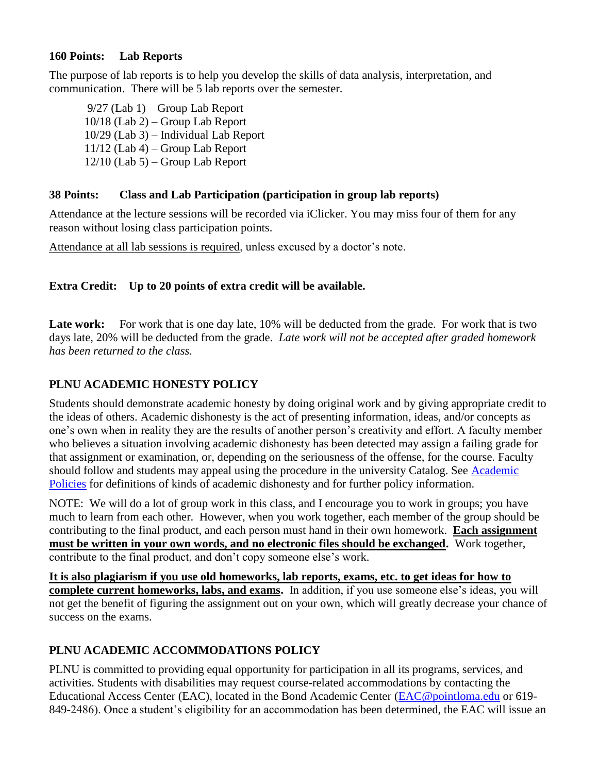## **160 Points: Lab Reports**

The purpose of lab reports is to help you develop the skills of data analysis, interpretation, and communication. There will be 5 lab reports over the semester.

9/27 (Lab 1) – Group Lab Report 10/18 (Lab 2) – Group Lab Report 10/29 (Lab 3) – Individual Lab Report 11/12 (Lab 4) – Group Lab Report 12/10 (Lab 5) – Group Lab Report

## **38 Points: Class and Lab Participation (participation in group lab reports)**

Attendance at the lecture sessions will be recorded via iClicker. You may miss four of them for any reason without losing class participation points.

Attendance at all lab sessions is required, unless excused by a doctor's note.

## **Extra Credit: Up to 20 points of extra credit will be available.**

Late work: For work that is one day late, 10% will be deducted from the grade. For work that is two days late, 20% will be deducted from the grade. *Late work will not be accepted after graded homework has been returned to the class.*

# **PLNU ACADEMIC HONESTY POLICY**

Students should demonstrate academic honesty by doing original work and by giving appropriate credit to the ideas of others. Academic dishonesty is the act of presenting information, ideas, and/or concepts as one's own when in reality they are the results of another person's creativity and effort. A faculty member who believes a situation involving academic dishonesty has been detected may assign a failing grade for that assignment or examination, or, depending on the seriousness of the offense, for the course. Faculty should follow and students may appeal using the procedure in the university Catalog. See Academic [Policies](https://catalog.pointloma.edu/content.php?catoid=52&navoid=2919#Academic_Honesty) for definitions of kinds of academic dishonesty and for further policy information.

NOTE: We will do a lot of group work in this class, and I encourage you to work in groups; you have much to learn from each other. However, when you work together, each member of the group should be contributing to the final product, and each person must hand in their own homework. **Each assignment must be written in your own words, and no electronic files should be exchanged.** Work together, contribute to the final product, and don't copy someone else's work.

**It is also plagiarism if you use old homeworks, lab reports, exams, etc. to get ideas for how to complete current homeworks, labs, and exams.** In addition, if you use someone else's ideas, you will not get the benefit of figuring the assignment out on your own, which will greatly decrease your chance of success on the exams.

# **PLNU ACADEMIC ACCOMMODATIONS POLICY**

PLNU is committed to providing equal opportunity for participation in all its programs, services, and activities. Students with disabilities may request course-related accommodations by contacting the Educational Access Center (EAC), located in the Bond Academic Center [\(EAC@pointloma.edu](mailto:EAC@pointloma.edu) or 619- 849-2486). Once a student's eligibility for an accommodation has been determined, the EAC will issue an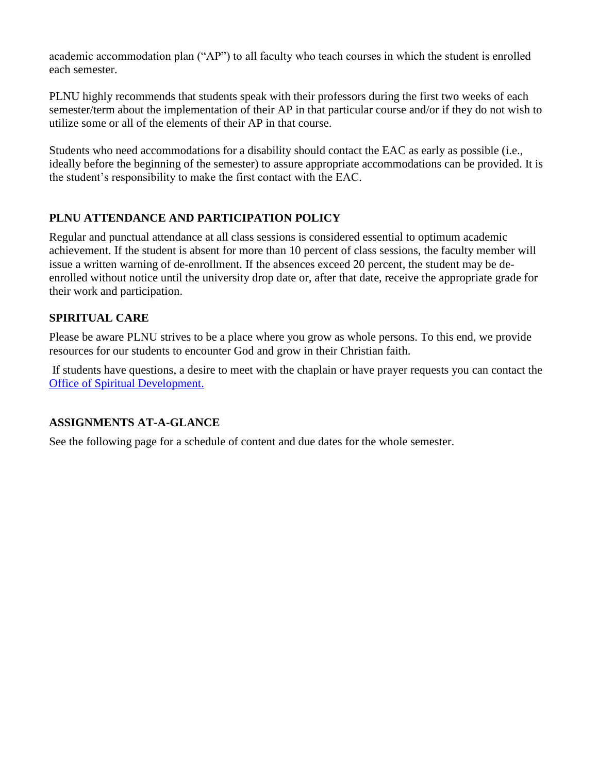academic accommodation plan ("AP") to all faculty who teach courses in which the student is enrolled each semester.

PLNU highly recommends that students speak with their professors during the first two weeks of each semester/term about the implementation of their AP in that particular course and/or if they do not wish to utilize some or all of the elements of their AP in that course.

Students who need accommodations for a disability should contact the EAC as early as possible (i.e., ideally before the beginning of the semester) to assure appropriate accommodations can be provided. It is the student's responsibility to make the first contact with the EAC.

# **PLNU ATTENDANCE AND PARTICIPATION POLICY**

Regular and punctual attendance at all class sessions is considered essential to optimum academic achievement. If the student is absent for more than 10 percent of class sessions, the faculty member will issue a written warning of de-enrollment. If the absences exceed 20 percent, the student may be deenrolled without notice until the university drop date or, after that date, receive the appropriate grade for their work and participation.

## **SPIRITUAL CARE**

Please be aware PLNU strives to be a place where you grow as whole persons. To this end, we provide resources for our students to encounter God and grow in their Christian faith.

If students have questions, a desire to meet with the chaplain or have prayer requests you can contact the Office of Spiritual Development.

# **ASSIGNMENTS AT-A-GLANCE**

See the following page for a schedule of content and due dates for the whole semester.